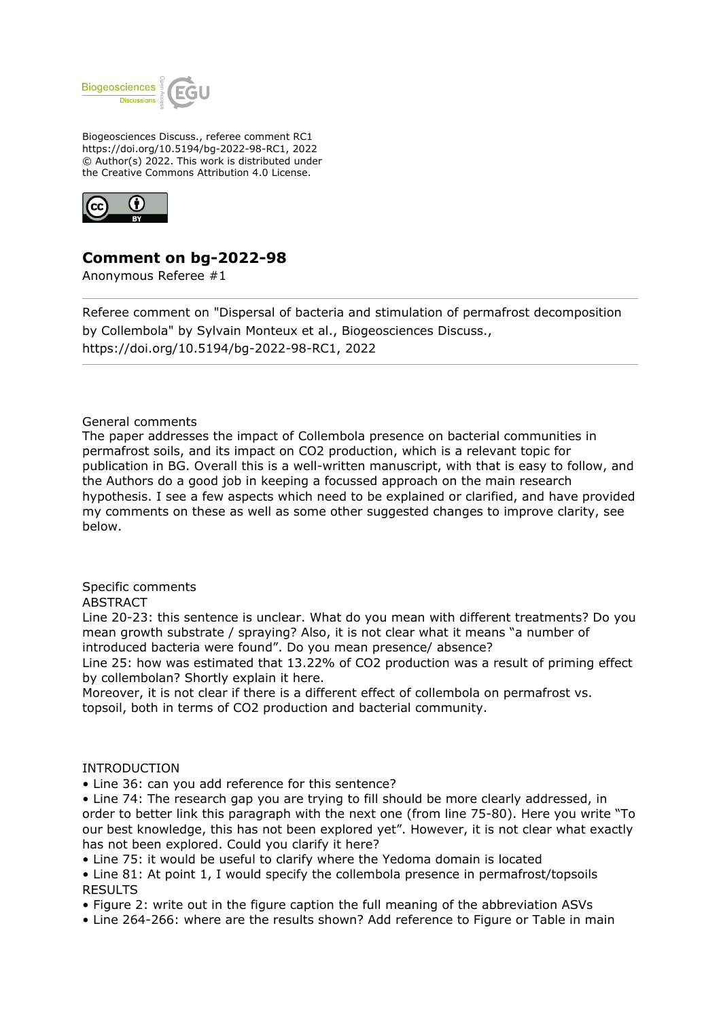

Biogeosciences Discuss., referee comment RC1 https://doi.org/10.5194/bg-2022-98-RC1, 2022 © Author(s) 2022. This work is distributed under the Creative Commons Attribution 4.0 License.



## **Comment on bg-2022-98**

Anonymous Referee #1

Referee comment on "Dispersal of bacteria and stimulation of permafrost decomposition by Collembola" by Sylvain Monteux et al., Biogeosciences Discuss., https://doi.org/10.5194/bg-2022-98-RC1, 2022

General comments

The paper addresses the impact of Collembola presence on bacterial communities in permafrost soils, and its impact on CO2 production, which is a relevant topic for publication in BG. Overall this is a well-written manuscript, with that is easy to follow, and the Authors do a good job in keeping a focussed approach on the main research hypothesis. I see a few aspects which need to be explained or clarified, and have provided my comments on these as well as some other suggested changes to improve clarity, see below.

## Specific comments

ABSTRACT

Line 20-23: this sentence is unclear. What do you mean with different treatments? Do you mean growth substrate / spraying? Also, it is not clear what it means "a number of introduced bacteria were found". Do you mean presence/ absence?

Line 25: how was estimated that 13.22% of CO2 production was a result of priming effect by collembolan? Shortly explain it here.

Moreover, it is not clear if there is a different effect of collembola on permafrost vs. topsoil, both in terms of CO2 production and bacterial community.

## INTRODUCTION

• Line 36: can you add reference for this sentence?

• Line 74: The research gap you are trying to fill should be more clearly addressed, in order to better link this paragraph with the next one (from line 75-80). Here you write "To our best knowledge, this has not been explored yet". However, it is not clear what exactly has not been explored. Could you clarify it here?

- Line 75: it would be useful to clarify where the Yedoma domain is located
- Line 81: At point 1, I would specify the collembola presence in permafrost/topsoils RESULTS
- Figure 2: write out in the figure caption the full meaning of the abbreviation ASVs
- Line 264-266: where are the results shown? Add reference to Figure or Table in main